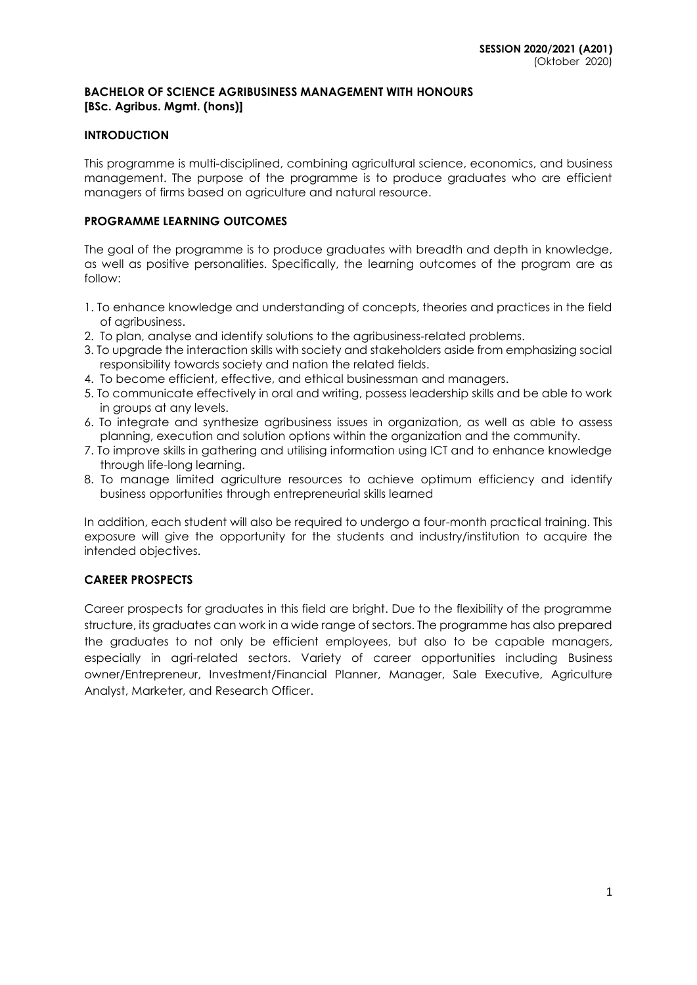### **BACHELOR OF SCIENCE AGRIBUSINESS MANAGEMENT WITH HONOURS [BSc. Agribus. Mgmt. (hons)]**

# **INTRODUCTION**

This programme is multi-disciplined, combining agricultural science, economics, and business management. The purpose of the programme is to produce graduates who are efficient managers of firms based on agriculture and natural resource.

# **PROGRAMME LEARNING OUTCOMES**

The goal of the programme is to produce graduates with breadth and depth in knowledge, as well as positive personalities. Specifically, the learning outcomes of the program are as follow:

- 1. To enhance knowledge and understanding of concepts, theories and practices in the field of agribusiness.
- 2. To plan, analyse and identify solutions to the agribusiness-related problems.
- 3. To upgrade the interaction skills with society and stakeholders aside from emphasizing social responsibility towards society and nation the related fields.
- 4. To become efficient, effective, and ethical businessman and managers.
- 5. To communicate effectively in oral and writing, possess leadership skills and be able to work in groups at any levels.
- 6. To integrate and synthesize agribusiness issues in organization, as well as able to assess planning, execution and solution options within the organization and the community.
- 7. To improve skills in gathering and utilising information using ICT and to enhance knowledge through life-long learning.
- 8. To manage limited agriculture resources to achieve optimum efficiency and identify business opportunities through entrepreneurial skills learned

In addition, each student will also be required to undergo a four-month practical training. This exposure will give the opportunity for the students and industry/institution to acquire the intended objectives.

# **CAREER PROSPECTS**

Career prospects for graduates in this field are bright. Due to the flexibility of the programme structure, its graduates can work in a wide range of sectors. The programme has also prepared the graduates to not only be efficient employees, but also to be capable managers, especially in agri-related sectors. Variety of career opportunities including Business owner/Entrepreneur, Investment/Financial Planner, Manager, Sale Executive, Agriculture Analyst, Marketer, and Research Officer.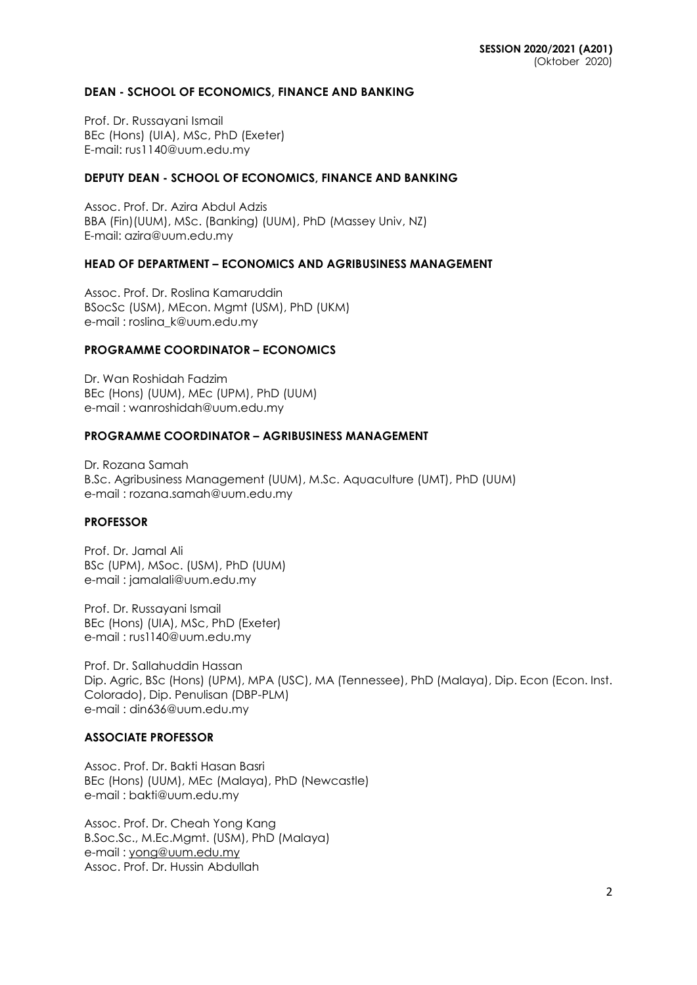#### **DEAN - SCHOOL OF ECONOMICS, FINANCE AND BANKING**

Prof. Dr. Russayani Ismail BEc (Hons) (UIA), MSc, PhD (Exeter) E-mail: rus1140@uum.edu.my

### **DEPUTY DEAN - SCHOOL OF ECONOMICS, FINANCE AND BANKING**

Assoc. Prof. Dr. Azira Abdul Adzis BBA (Fin)(UUM), MSc. (Banking) (UUM), PhD (Massey Univ, NZ) E-mail: azira@uum.edu.my

### **HEAD OF DEPARTMENT – ECONOMICS AND AGRIBUSINESS MANAGEMENT**

Assoc. Prof. Dr. Roslina Kamaruddin BSocSc (USM), MEcon. Mgmt (USM), PhD (UKM) e-mail : [roslina\\_k@uum.edu.my](mailto:roslina_k@uum.edu.my)

### **PROGRAMME COORDINATOR – ECONOMICS**

Dr. Wan Roshidah Fadzim BEc (Hons) (UUM), MEc (UPM), PhD (UUM) e-mail : [wanroshidah@uum.edu.my](mailto:wanroshidah@uum.edu.my)

#### **PROGRAMME COORDINATOR – AGRIBUSINESS MANAGEMENT**

Dr. Rozana Samah B.Sc. Agribusiness Management (UUM), M.Sc. Aquaculture (UMT), PhD (UUM) e-mail : [rozana.samah@uum.edu.my](mailto:rozana.samah@uum.edu.my)

# **PROFESSOR**

Prof. Dr. Jamal Ali BSc (UPM), MSoc. (USM), PhD (UUM) e-mail : [jamalali@uum.edu.my](mailto:jamalali@uum.edu.my)

Prof. Dr. Russayani Ismail BEc (Hons) (UIA), MSc, PhD (Exeter) e-mail : [rus1140@uum.edu.my](mailto:rus1140@uum.edu.my)

Prof. Dr. Sallahuddin Hassan Dip. Agric, BSc (Hons) (UPM), MPA (USC), MA (Tennessee), PhD (Malaya), Dip. Econ (Econ. Inst. Colorado), Dip. Penulisan (DBP-PLM) e-mail : [din636@uum.edu.my](mailto:din636@uum.edu.my)

# **ASSOCIATE PROFESSOR**

Assoc. Prof. Dr. Bakti Hasan Basri BEc (Hons) (UUM), MEc (Malaya), PhD (Newcastle) e-mail : [bakti@uum.edu.my](mailto:bakti@uum.edu.my)

Assoc. Prof. Dr. Cheah Yong Kang B.Soc.Sc., M.Ec.Mgmt. (USM), PhD (Malaya) e-mail : [yong@uum.edu.my](mailto:yong@uum.edu.my) Assoc. Prof. Dr. Hussin Abdullah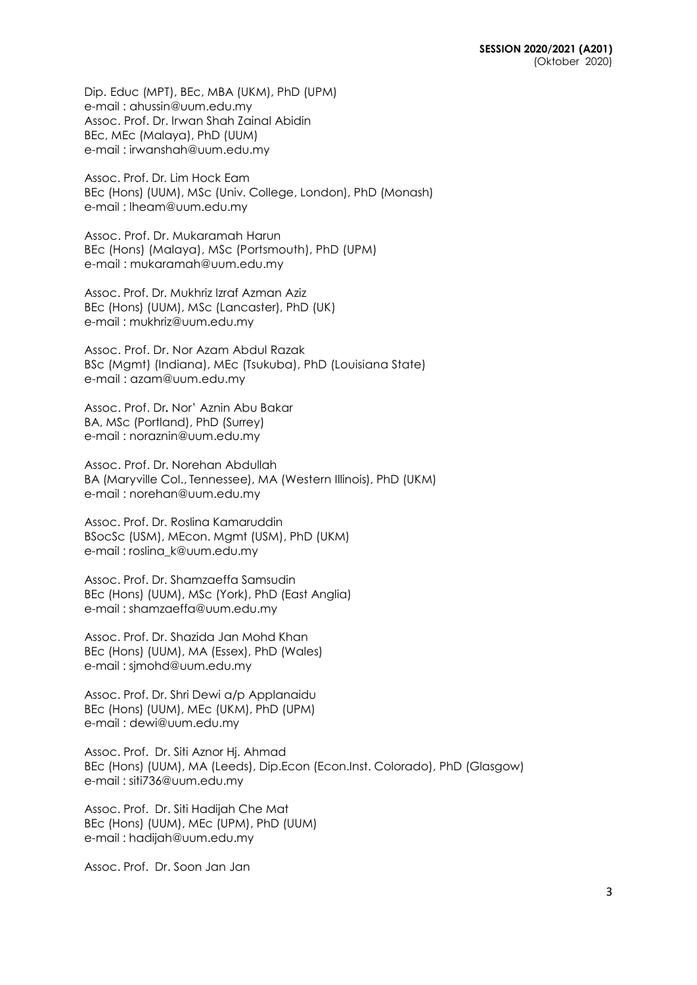Dip. Educ (MPT), BEc, MBA (UKM), PhD (UPM) e-mail : [ahussin@uum.edu.my](mailto:ahussin@uum.edu.my) Assoc. Prof. Dr. Irwan Shah Zainal Abidin BEc, MEc (Malaya), PhD (UUM) e-mail : [irwanshah@uum.edu.my](mailto:irwanshah@uum.edu.my)

Assoc. Prof. Dr. Lim Hock Eam BEc (Hons) (UUM), MSc (Univ. College, London), PhD (Monash) e-mail : [lheam@uum.edu.my](mailto:lheam@uum.edu.my)

Assoc. Prof. Dr. Mukaramah Harun BEc (Hons) (Malaya), MSc (Portsmouth), PhD (UPM) e-mail : mukaramah@uum.edu.my

Assoc. Prof. Dr. Mukhriz Izraf Azman Aziz BEc (Hons) (UUM), MSc (Lancaster), PhD (UK) e-mail : [mukhriz@uum.edu.my](mailto:mukhriz@uum.edu.my)

Assoc. Prof. Dr. Nor Azam Abdul Razak BSc (Mgmt) (Indiana), MEc (Tsukuba), PhD (Louisiana State) e-mail : [azam@uum.edu.my](mailto:azam@uum.edu.my)

Assoc. Prof. Dr**.** Nor' Aznin Abu Bakar BA, MSc (Portland), PhD (Surrey) e-mail : [noraznin@uum.edu.my](mailto:noraznin@uum.edu.my)

Assoc. Prof. Dr. Norehan Abdullah BA (Maryville Col., Tennessee), MA (Western Illinois), PhD (UKM) e-mail : [norehan@uum.edu.my](mailto:norehan@uum.edu.my)

Assoc. Prof. Dr. Roslina Kamaruddin BSocSc (USM), MEcon. Mgmt (USM), PhD (UKM) e-mail : [roslina\\_k@uum.edu.my](mailto:roslina_k@uum.edu.my)

Assoc. Prof. Dr. Shamzaeffa Samsudin BEc (Hons) (UUM), MSc (York), PhD (East Anglia) e-mail : shamzaeffa@uum.edu.my

Assoc. Prof. Dr. Shazida Jan Mohd Khan BEc (Hons) (UUM), MA (Essex), PhD (Wales) e-mail : [sjmohd@uum.edu.my](mailto:sjmohd@uum.edu.my)

Assoc. Prof. Dr. Shri Dewi a/p Applanaidu BEc (Hons) (UUM), MEc (UKM), PhD (UPM) e-mail : [dewi@uum.edu.my](mailto:dewi@uum.edu.my)

Assoc. Prof. Dr. Siti Aznor Hj. Ahmad BEc (Hons) (UUM), MA (Leeds), Dip.Econ (Econ.Inst. Colorado), PhD (Glasgow) e-mail : siti736@uum.edu.my

Assoc. Prof. Dr. Siti Hadijah Che Mat BEc (Hons) (UUM), MEc (UPM), PhD (UUM) e-mail : [hadijah@uum.edu.my](mailto:hadijah@uum.edu.my)

Assoc. Prof. Dr. Soon Jan Jan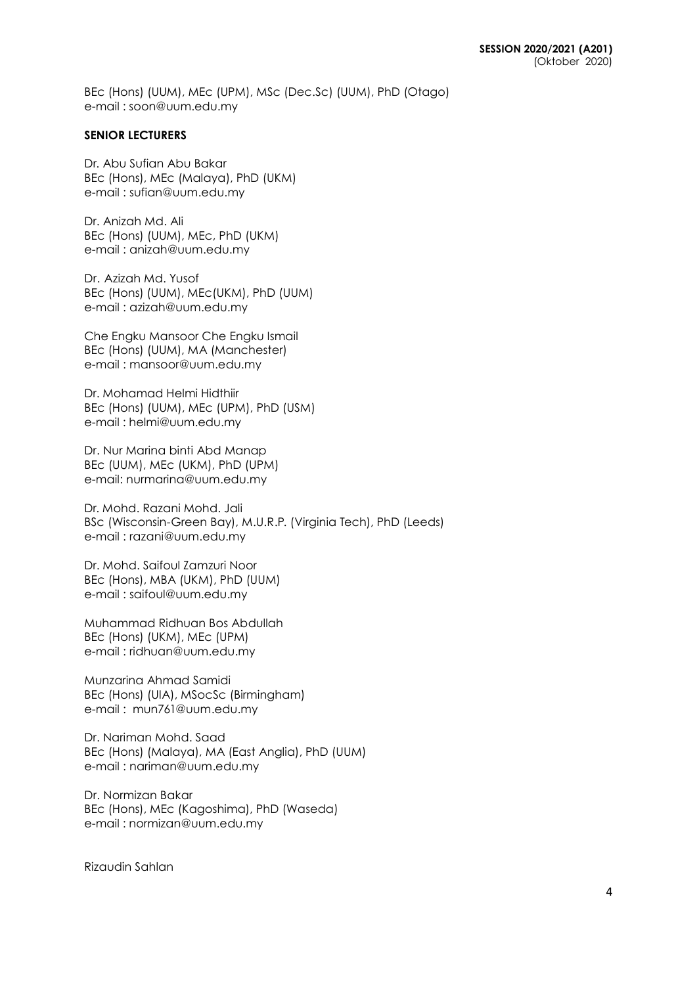BEc (Hons) (UUM), MEc (UPM), MSc (Dec.Sc) (UUM), PhD (Otago) e-mail : soon@uum.edu.my

### **SENIOR LECTURERS**

Dr. Abu Sufian Abu Bakar BEc (Hons), MEc (Malaya), PhD (UKM) e-mail : [sufian@uum.edu.my](mailto:sufian@uum.edu.my)

Dr. Anizah Md. Ali BEc (Hons) (UUM), MEc, PhD (UKM) e-mail : [anizah@uum.edu.my](mailto:anizah@uum.edu.my)

Dr. Azizah Md. Yusof BEc (Hons) (UUM), MEc(UKM), PhD (UUM) e-mail : [azizah@uum.edu.my](mailto:azizah@uum.edu.my)

Che Engku Mansoor Che Engku Ismail BEc (Hons) (UUM), MA (Manchester) e-mail : [mansoor@uum.edu.my](mailto:mansoor@uum.edu.my)

Dr. Mohamad Helmi Hidthiir BEc (Hons) (UUM), MEc (UPM), PhD (USM) e-mail : helmi@uum.edu.my

Dr. Nur Marina binti Abd Manap BEc (UUM), MEc (UKM), PhD (UPM) e-mail: nu[rmarina@uum.edu.my](mailto:marina@uum.edu.my)

Dr. Mohd. Razani Mohd. Jali BSc (Wisconsin-Green Bay), M.U.R.P. (Virginia Tech), PhD (Leeds) e-mail : [razani@uum.edu.my](mailto:razani@uum.edu.my)

Dr. Mohd. Saifoul Zamzuri Noor BEc (Hons), MBA (UKM), PhD (UUM) e-mail : [saifoul@uum.edu.my](mailto:saifoul@uum.edu.my)

Muhammad Ridhuan Bos Abdullah BEc (Hons) (UKM), MEc (UPM) e-mail : [ridhuan@uum.edu.my](mailto:ridhuan@uum.edu.my)

Munzarina Ahmad Samidi BEc (Hons) (UIA), MSocSc (Birmingham) e-mail : [mun761@uum.edu.my](mailto:mun761@uum.edu.my)

Dr. Nariman Mohd. Saad BEc (Hons) (Malaya), MA (East Anglia), PhD (UUM) e-mail : [nariman@uum.edu.my](mailto:nariman@uum.edu.my)

Dr. Normizan Bakar BEc (Hons), MEc (Kagoshima), PhD (Waseda) e-mail : [normizan@uum.edu.my](mailto:normizan@uum.edu.my)

Rizaudin Sahlan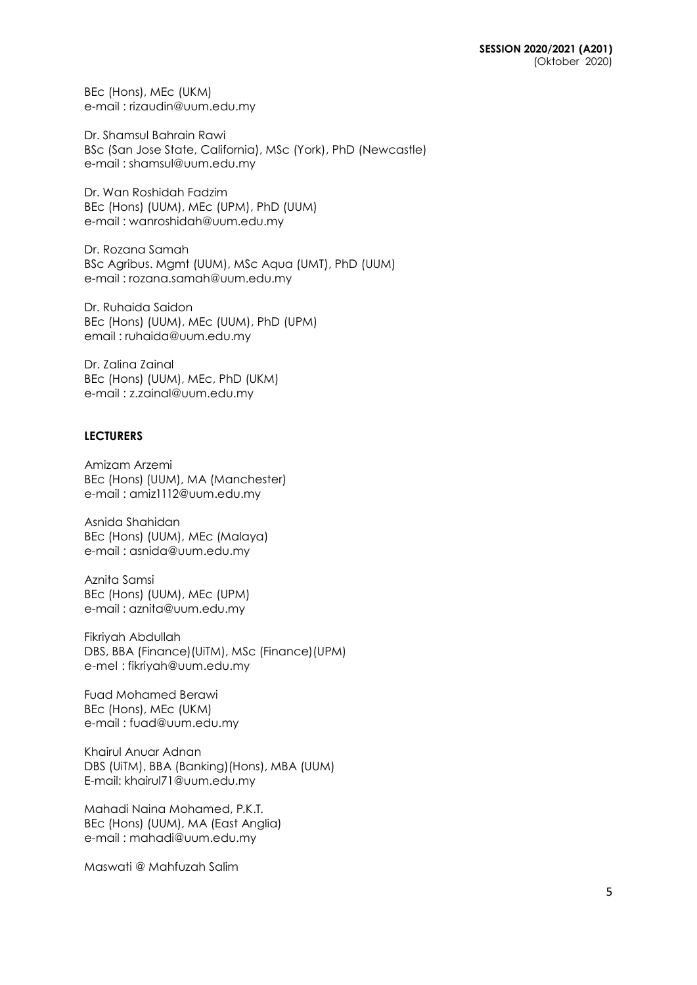BEc (Hons), MEc (UKM) e-mail : [rizaudin@uum.edu.my](mailto:rizaudin@uum.edu.my)

Dr. Shamsul Bahrain Rawi BSc (San Jose State, California), MSc (York), PhD (Newcastle) e-mail : [shamsul@uum.edu.my](mailto:shamsul@uum.edu.my)

Dr. Wan Roshidah Fadzim BEc (Hons) (UUM), MEc (UPM), PhD (UUM) e-mail : [wanroshidah@uum.edu.my](mailto:wanroshidah@uum.edu.my)

Dr. Rozana Samah BSc Agribus. Mgmt (UUM), MSc Aqua (UMT), PhD (UUM) e-mail : rozana.samah@uum.edu.my

Dr. Ruhaida Saidon BEc (Hons) (UUM), MEc (UUM), PhD (UPM) email : ruhaida@uum.edu.my

Dr. Zalina Zainal BEc (Hons) (UUM), MEc, PhD (UKM) e-mail : [z.zainal@uum.edu.my](mailto:z.zainal@uum.edu.my)

# **LECTURERS**

Amizam Arzemi BEc (Hons) (UUM), MA (Manchester) e-mail : [amiz1112@uum.edu.my](mailto:amiz1112@uum.edu.my)

Asnida Shahidan BEc (Hons) (UUM), MEc (Malaya) e-mail : [asnida@uum.edu.my](mailto:asnida@uum.edu.my)

Aznita Samsi BEc (Hons) (UUM), MEc (UPM) e-mail : [aznita@uum.edu.my](mailto:aznita@uum.edu.my)

Fikriyah Abdullah DBS, BBA (Finance)(UiTM), MSc (Finance)(UPM) e-mel : [fikriyah@uum.edu.my](mailto:fikriyah@uum.edu.my)

Fuad Mohamed Berawi BEc (Hons), MEc (UKM) e-mail : [fuad@uum.edu.my](mailto:fuad@uum.edu.my)

Khairul Anuar Adnan DBS (UiTM), BBA (Banking)(Hons), MBA (UUM) E-mail: khairul71@uum.edu.my

Mahadi Naina Mohamed, P.K.T. BEc (Hons) (UUM), MA (East Anglia) e-mail : [mahadi@uum.edu.my](mailto:mahadi@uum.edu.my)

Maswati @ Mahfuzah Salim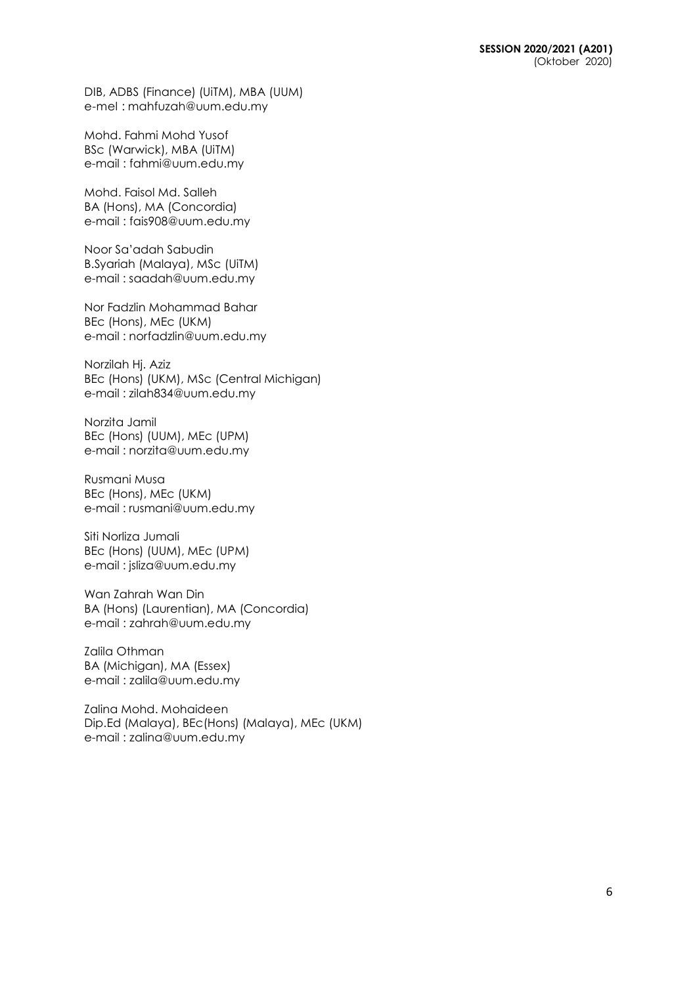DIB, ADBS (Finance) (UiTM), MBA (UUM) e-mel : [mahfuzah@uum.edu.my](mailto:mahfuzah@uum.edu.my)

Mohd. Fahmi Mohd Yusof BSc (Warwick), MBA (UiTM) e-mail : [fahmi@uum.edu.my](mailto:fahmi@uum.edu.my)

Mohd. Faisol Md. Salleh BA (Hons), MA (Concordia) e-mail : [fais908@uum.edu.my](mailto:fais908@uum.edu.my)

Noor Sa'adah Sabudin B.Syariah (Malaya), MSc (UiTM) e-mail : [saadah@uum.edu.my](mailto:saadah@uum.edu.my)

Nor Fadzlin Mohammad Bahar BEc (Hons), MEc (UKM) e-mail : [norfadzlin@uum.edu.my](mailto:norfadzlin@uum.edu.my)

Norzilah Hj. Aziz BEc (Hons) (UKM), MSc (Central Michigan) e-mail : [zilah834@uum.edu.my](mailto:zilah834@uum.edu.my)

Norzita Jamil BEc (Hons) (UUM), MEc (UPM) e-mail : [norzita@uum.edu.my](mailto:norzita@uum.edu.my)

Rusmani Musa BEc (Hons), MEc (UKM) e-mail : [rusmani@uum.edu.my](mailto:rusmani@uum.edu.my)

Siti Norliza Jumali BEc (Hons) (UUM), MEc (UPM) e-mail : [jsliza@uum.edu.my](mailto:jsliza@uum.edu.my)

Wan Zahrah Wan Din BA (Hons) (Laurentian), MA (Concordia) e-mail : [zahrah@uum.edu.my](mailto:zahrah@uum.edu.my)

Zalila Othman BA (Michigan), MA (Essex) e-mail : [zalila@uum.edu.my](mailto:zalila@uum.edu.my)

Zalina Mohd. Mohaideen Dip.Ed (Malaya), BEc(Hons) (Malaya), MEc (UKM) e-mail : [zalina@uum.edu.my](mailto:zalina@uum.edu.my)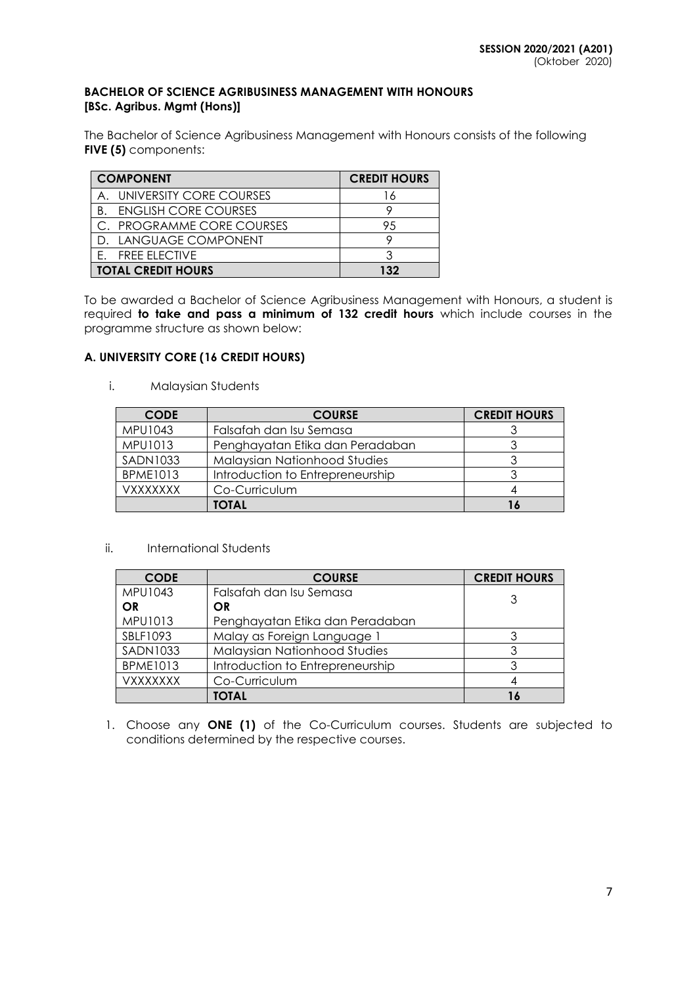# **BACHELOR OF SCIENCE AGRIBUSINESS MANAGEMENT WITH HONOURS [BSc. Agribus. Mgmt (Hons)]**

The Bachelor of Science Agribusiness Management with Honours consists of the following **FIVE (5)** components:

| <b>COMPONENT</b>               | <b>CREDIT HOURS</b> |
|--------------------------------|---------------------|
| A. UNIVERSITY CORE COURSES     |                     |
| <b>B. ENGLISH CORE COURSES</b> |                     |
| C. PROGRAMME CORE COURSES      | 95                  |
| D. LANGUAGE COMPONENT          |                     |
| E. FREE ELECTIVE               |                     |
| <b>TOTAL CREDIT HOURS</b>      | 132                 |

To be awarded a Bachelor of Science Agribusiness Management with Honours, a student is required **to take and pass a minimum of 132 credit hours** which include courses in the programme structure as shown below:

# **A. UNIVERSITY CORE (16 CREDIT HOURS)**

i. Malaysian Students

| <b>CODE</b>     | <b>COURSE</b>                    | <b>CREDIT HOURS</b> |
|-----------------|----------------------------------|---------------------|
| MPU1043         | Falsafah dan Isu Semasa          |                     |
| MPU1013         | Penghayatan Etika dan Peradaban  |                     |
| <b>SADN1033</b> | Malaysian Nationhood Studies     |                     |
| <b>BPME1013</b> | Introduction to Entrepreneurship |                     |
| <b>VXXXXXXX</b> | Co-Curriculum                    |                     |
|                 | <b>TOTAL</b>                     | 16                  |

#### ii. International Students

| <b>CODE</b>     | <b>COURSE</b>                    | <b>CREDIT HOURS</b> |
|-----------------|----------------------------------|---------------------|
| <b>MPU1043</b>  | Falsafah dan Isu Semasa          |                     |
| <b>OR</b>       | <b>OR</b>                        |                     |
| MPU1013         | Penghayatan Etika dan Peradaban  |                     |
| SBLF1093        | Malay as Foreign Language 1      |                     |
| <b>SADN1033</b> | Malaysian Nationhood Studies     |                     |
| <b>BPME1013</b> | Introduction to Entrepreneurship |                     |
| <b>VXXXXXXX</b> | Co-Curriculum                    |                     |
|                 | <b>TOTAL</b>                     |                     |

1. Choose any **ONE (1)** of the Co-Curriculum courses. Students are subjected to conditions determined by the respective courses.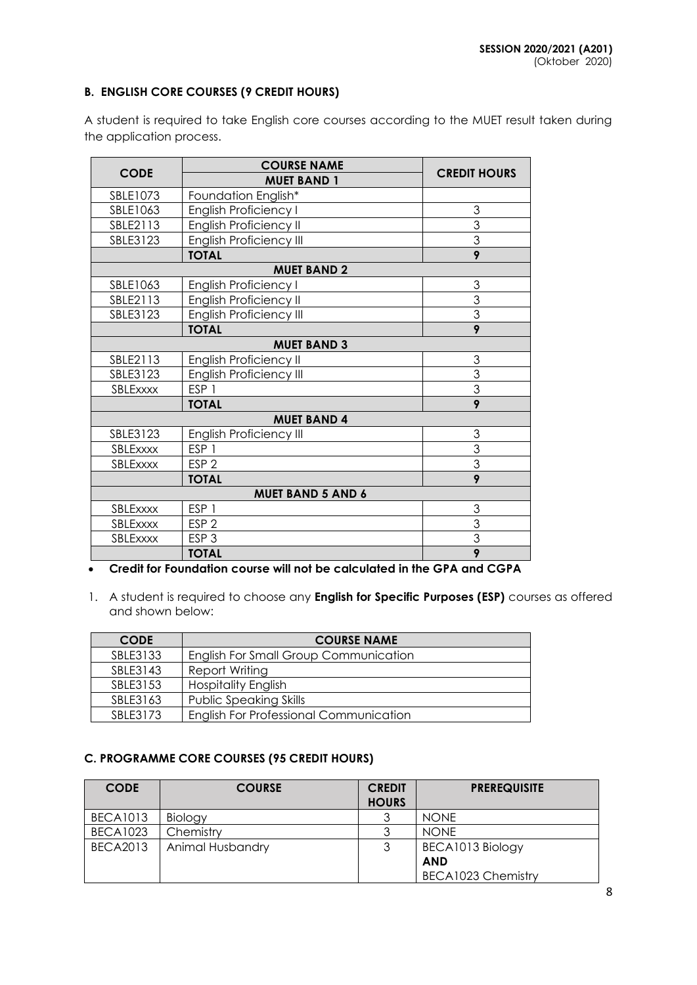# **B. ENGLISH CORE COURSES (9 CREDIT HOURS)**

A student is required to take English core courses according to the MUET result taken during the application process.

|                              | <b>COURSE NAME</b>             | <b>CREDIT HOURS</b> |  |  |
|------------------------------|--------------------------------|---------------------|--|--|
| <b>CODE</b>                  | <b>MUET BAND 1</b>             |                     |  |  |
| SBLE1073                     | Foundation English*            |                     |  |  |
| SBLE1063                     | <b>English Proficiency I</b>   | 3                   |  |  |
| SBLE2113                     | <b>English Proficiency II</b>  | $\overline{3}$      |  |  |
| SBLE3123                     | <b>English Proficiency III</b> | $\overline{3}$      |  |  |
|                              | <b>TOTAL</b>                   | 9                   |  |  |
|                              | <b>MUET BAND 2</b>             |                     |  |  |
| SBLE1063                     | English Proficiency I          | 3                   |  |  |
| SBLE2113                     | English Proficiency II         | $\overline{3}$      |  |  |
| SBLE3123                     | <b>English Proficiency III</b> | $\overline{3}$      |  |  |
|                              | <b>TOTAL</b>                   | $\overline{9}$      |  |  |
| <b>MUET BAND 3</b>           |                                |                     |  |  |
| SBLE2113                     | English Proficiency II         | 3                   |  |  |
| SBLE3123                     | <b>English Proficiency III</b> | $\overline{3}$      |  |  |
| ESP <sub>1</sub><br>SBLExxxx |                                | $\overline{3}$      |  |  |
|                              | <b>TOTAL</b>                   | 9                   |  |  |
|                              | <b>MUET BAND 4</b>             |                     |  |  |
| SBLE3123                     | <b>English Proficiency III</b> | 3                   |  |  |
| SBLExxxx                     | ESP <sub>1</sub>               | 3                   |  |  |
| SBLExxxx                     | ESP <sub>2</sub>               | 3                   |  |  |
|                              | <b>TOTAL</b>                   | 9                   |  |  |
| <b>MUET BAND 5 AND 6</b>     |                                |                     |  |  |
| SBLExxxx                     | ESP <sub>1</sub>               | 3                   |  |  |
| SBLExxxx                     | ESP <sub>2</sub>               | 3                   |  |  |
| SBLExxxx                     | ESP <sub>3</sub>               | $\overline{3}$      |  |  |
|                              | <b>TOTAL</b>                   | 9                   |  |  |

# **Credit for Foundation course will not be calculated in the GPA and CGPA**

1. A student is required to choose any **English for Specific Purposes (ESP)** courses as offered and shown below:

| <b>CODE</b> | <b>COURSE NAME</b>                            |
|-------------|-----------------------------------------------|
| SBLE3133    | English For Small Group Communication         |
| SBLE3143    | Report Writing                                |
| SBLE3153    | <b>Hospitality English</b>                    |
| SBLE3163    | <b>Public Speaking Skills</b>                 |
| SBI F3173   | <b>English For Professional Communication</b> |

# **C. PROGRAMME CORE COURSES (95 CREDIT HOURS)**

| <b>CODE</b>     | <b>COURSE</b>    | <b>CREDIT</b> | <b>PREREQUISITE</b>       |  |
|-----------------|------------------|---------------|---------------------------|--|
|                 |                  | <b>HOURS</b>  |                           |  |
| <b>BECA1013</b> | Biology          |               | <b>NONE</b>               |  |
| <b>BECA1023</b> | Chemistry        |               | <b>NONE</b>               |  |
| <b>BECA2013</b> | Animal Husbandry |               | BECA1013 Biology          |  |
|                 |                  |               | <b>AND</b>                |  |
|                 |                  |               | <b>BECA1023 Chemistry</b> |  |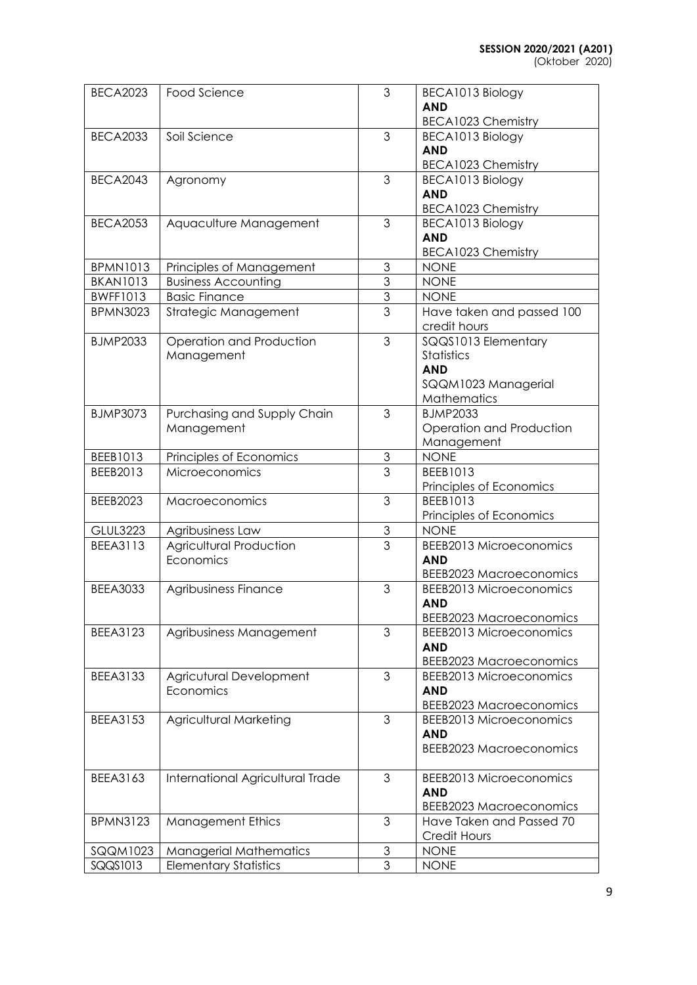(Oktober 2020)

| <b>BECA2023</b> | Food Science                                           | 3                         | BECA1013 Biology                             |
|-----------------|--------------------------------------------------------|---------------------------|----------------------------------------------|
|                 |                                                        |                           | <b>AND</b>                                   |
|                 |                                                        |                           | <b>BECA1023 Chemistry</b>                    |
| <b>BECA2033</b> | Soil Science                                           | 3                         | BECA1013 Biology                             |
|                 |                                                        |                           | <b>AND</b>                                   |
|                 |                                                        |                           | <b>BECA1023 Chemistry</b>                    |
| <b>BECA2043</b> | Agronomy                                               | 3                         | BECA1013 Biology                             |
|                 |                                                        |                           | <b>AND</b>                                   |
|                 |                                                        |                           | <b>BECA1023 Chemistry</b>                    |
| <b>BECA2053</b> | Aquaculture Management                                 | 3                         | BECA1013 Biology                             |
|                 |                                                        |                           | <b>AND</b>                                   |
| <b>BPMN1013</b> |                                                        | 3                         | BECA1023 Chemistry<br><b>NONE</b>            |
| <b>BKAN1013</b> | Principles of Management<br><b>Business Accounting</b> | 3                         | <b>NONE</b>                                  |
| <b>BWFF1013</b> | <b>Basic Finance</b>                                   | $\ensuremath{\mathsf{3}}$ | <b>NONE</b>                                  |
| <b>BPMN3023</b> | Strategic Management                                   | 3                         | Have taken and passed 100                    |
|                 |                                                        |                           | credit hours                                 |
| <b>BJMP2033</b> | Operation and Production                               | 3                         | SQQS1013 Elementary                          |
|                 | Management                                             |                           | Statistics                                   |
|                 |                                                        |                           | <b>AND</b>                                   |
|                 |                                                        |                           | SQQM1023 Managerial                          |
|                 |                                                        |                           | Mathematics                                  |
| <b>BJMP3073</b> | Purchasing and Supply Chain                            | 3                         | <b>BJMP2033</b>                              |
|                 | Management                                             |                           | Operation and Production                     |
|                 |                                                        |                           | Management                                   |
| BEEB1013        | Principles of Economics                                | $\ensuremath{\mathsf{3}}$ | <b>NONE</b>                                  |
| BEEB2013        | Microeconomics                                         | $\overline{3}$            | BEEB1013                                     |
|                 |                                                        |                           | Principles of Economics                      |
| BEEB2023        | Macroeconomics                                         | 3                         | BEEB1013                                     |
|                 |                                                        |                           | Principles of Economics                      |
| <b>GLUL3223</b> | Agribusiness Law                                       | $\mathfrak 3$             | <b>NONE</b>                                  |
| <b>BEEA3113</b> | <b>Agricultural Production</b>                         | $\overline{3}$            | <b>BEEB2013 Microeconomics</b>               |
|                 | Economics                                              |                           | <b>AND</b>                                   |
|                 |                                                        |                           | <b>BEEB2023 Macroeconomics</b>               |
| <b>BEEA3033</b> | Agribusiness Finance                                   | 3                         | <b>BEEB2013 Microeconomics</b>               |
|                 |                                                        |                           | <b>AND</b>                                   |
|                 |                                                        |                           | <b>BEEB2023 Macroeconomics</b>               |
| <b>BEEA3123</b> | Agribusiness Management                                | 3                         | <b>BEEB2013 Microeconomics</b>               |
|                 |                                                        |                           | <b>AND</b>                                   |
|                 |                                                        |                           | <b>BEEB2023 Macroeconomics</b>               |
| <b>BEEA3133</b> | Agricutural Development<br>Economics                   | 3                         | <b>BEEB2013 Microeconomics</b>               |
|                 |                                                        |                           | <b>AND</b><br><b>BEEB2023 Macroeconomics</b> |
| <b>BEEA3153</b> | <b>Agricultural Marketing</b>                          | 3                         | <b>BEEB2013 Microeconomics</b>               |
|                 |                                                        |                           | <b>AND</b>                                   |
|                 |                                                        |                           | <b>BEEB2023 Macroeconomics</b>               |
|                 |                                                        |                           |                                              |
| BEEA3163        | International Agricultural Trade                       | 3                         | <b>BEEB2013 Microeconomics</b>               |
|                 |                                                        |                           | <b>AND</b>                                   |
|                 |                                                        |                           | <b>BEEB2023 Macroeconomics</b>               |
| <b>BPMN3123</b> | <b>Management Ethics</b>                               | 3                         | Have Taken and Passed 70                     |
|                 |                                                        |                           | Credit Hours                                 |
| SQQM1023        | <b>Managerial Mathematics</b>                          | 3                         | <b>NONE</b>                                  |
| SQQS1013        | <b>Elementary Statistics</b>                           | $\overline{3}$            | <b>NONE</b>                                  |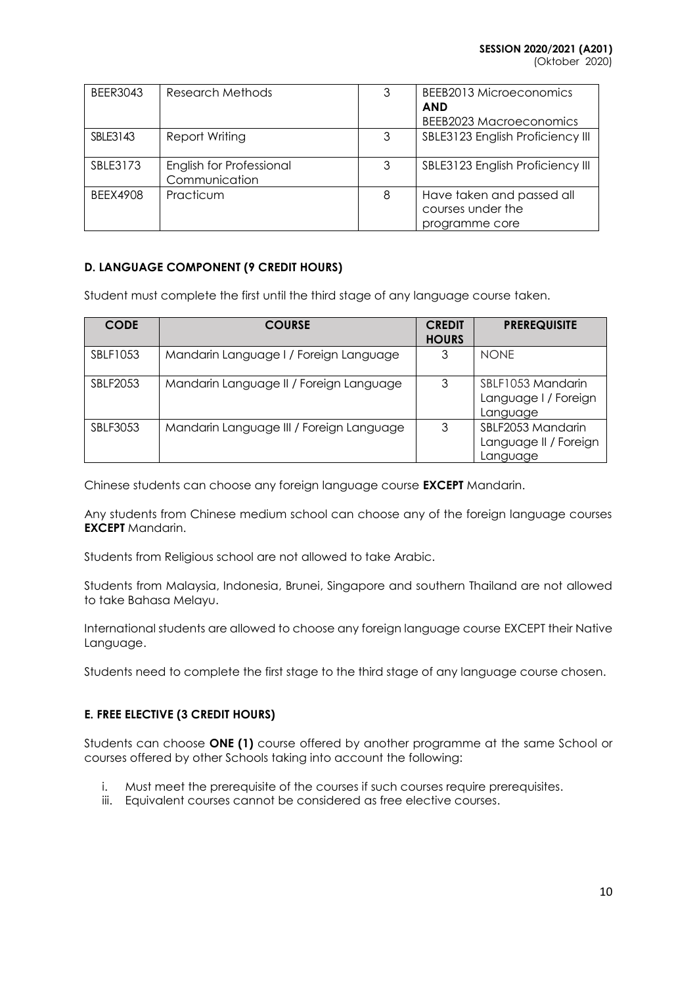(Oktober 2020)

| <b>BEER3043</b> | Research Methods                          | 3 | <b>BEEB2013 Microeconomics</b><br><b>AND</b><br>BEEB2023 Macroeconomics |
|-----------------|-------------------------------------------|---|-------------------------------------------------------------------------|
| SBLE3143        | Report Writing                            | 3 | SBLE3123 English Proficiency III                                        |
| SBLE3173        | English for Professional<br>Communication | 3 | SBLE3123 English Proficiency III                                        |
| <b>BEEX4908</b> | Practicum                                 | 8 | Have taken and passed all<br>courses under the<br>programme core        |

# **D. LANGUAGE COMPONENT (9 CREDIT HOURS)**

Student must complete the first until the third stage of any language course taken.

| <b>CODE</b>     | <b>COURSE</b>                            | <b>CREDIT</b><br><b>HOURS</b> | <b>PREREQUISITE</b>                                    |
|-----------------|------------------------------------------|-------------------------------|--------------------------------------------------------|
| SBLF1053        | Mandarin Language I / Foreign Language   | 3                             | <b>NONE</b>                                            |
| <b>SBLF2053</b> | Mandarin Language II / Foreign Language  | 3                             | SBLF1053 Mandarin<br>Language I / Foreign<br>Language  |
| <b>SBLF3053</b> | Mandarin Language III / Foreign Language | 3                             | SBLF2053 Mandarin<br>Language II / Foreign<br>Language |

Chinese students can choose any foreign language course **EXCEPT** Mandarin.

Any students from Chinese medium school can choose any of the foreign language courses **EXCEPT** Mandarin.

Students from Religious school are not allowed to take Arabic.

Students from Malaysia, Indonesia, Brunei, Singapore and southern Thailand are not allowed to take Bahasa Melayu.

International students are allowed to choose any foreign language course EXCEPT their Native Language.

Students need to complete the first stage to the third stage of any language course chosen.

# **E. FREE ELECTIVE (3 CREDIT HOURS)**

Students can choose **ONE (1)** course offered by another programme at the same School or courses offered by other Schools taking into account the following:

- i. Must meet the prerequisite of the courses if such courses require prerequisites.
- iii. Equivalent courses cannot be considered as free elective courses.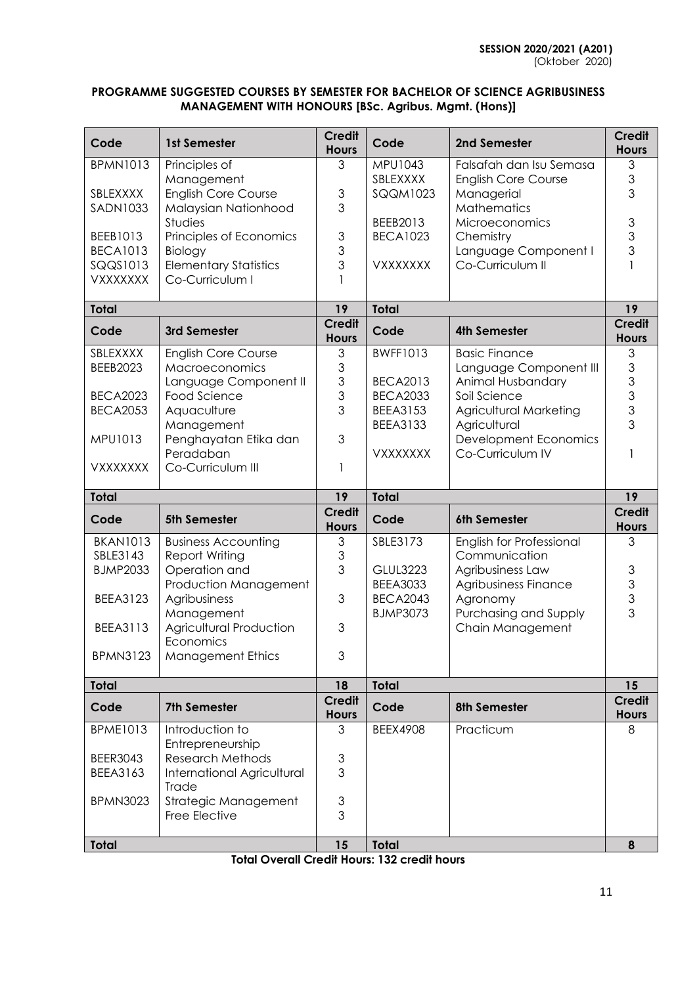# **PROGRAMME SUGGESTED COURSES BY SEMESTER FOR BACHELOR OF SCIENCE AGRIBUSINESS MANAGEMENT WITH HONOURS [BSc. Agribus. Mgmt. (Hons)]**

| Code                        | 1st Semester                                          | <b>Credit</b><br><b>Hours</b> | Code                               | 2nd Semester                           | <b>Credit</b><br><b>Hours</b>              |
|-----------------------------|-------------------------------------------------------|-------------------------------|------------------------------------|----------------------------------------|--------------------------------------------|
| <b>BPMN1013</b>             | Principles of                                         | 3                             | <b>MPU1043</b>                     | Falsafah dan Isu Semasa                | 3                                          |
|                             | Management                                            |                               | SBLEXXXX                           | <b>English Core Course</b>             | $\mathfrak{S}$                             |
| SBLEXXXX<br><b>SADN1033</b> | <b>English Core Course</b><br>Malaysian Nationhood    | $\mathfrak 3$<br>3            | SQQM1023                           | Managerial<br>Mathematics              | 3                                          |
|                             | Studies                                               |                               | BEEB2013                           | Microeconomics                         | $\ensuremath{\mathsf{3}}$                  |
| BEEB1013                    | Principles of Economics                               | $\mathfrak{S}$                | <b>BECA1023</b>                    | Chemistry                              | 3                                          |
| <b>BECA1013</b>             | Biology                                               | 3                             |                                    | Language Component I                   | 3                                          |
| SQQS1013                    | <b>Elementary Statistics</b>                          | 3                             | <b>VXXXXXXX</b>                    | Co-Curriculum II                       |                                            |
| <b>VXXXXXXX</b>             | Co-Curriculum I                                       |                               |                                    |                                        |                                            |
| <b>Total</b>                |                                                       | 19                            | <b>Total</b>                       |                                        | 19                                         |
| Code                        | 3rd Semester                                          | <b>Credit</b><br><b>Hours</b> | Code                               | <b>4th Semester</b>                    | <b>Credit</b><br><b>Hours</b>              |
| SBLEXXXX                    | <b>English Core Course</b>                            | 3                             | <b>BWFF1013</b>                    | <b>Basic Finance</b>                   | 3                                          |
| BEEB2023                    | Macroeconomics                                        | 3                             |                                    | Language Component III                 | 3                                          |
|                             | Language Component II                                 | 3                             | <b>BECA2013</b>                    | Animal Husbandary                      | 3                                          |
| <b>BECA2023</b>             | Food Science                                          | 3<br>3                        | <b>BECA2033</b><br><b>BEEA3153</b> | Soil Science                           | $\mathfrak{S}$<br>3                        |
| <b>BECA2053</b>             | Aquaculture<br>Management                             |                               | <b>BEEA3133</b>                    | Agricultural Marketing<br>Agricultural | 3                                          |
| MPU1013                     | Penghayatan Etika dan                                 | 3                             |                                    | <b>Development Economics</b>           |                                            |
|                             | Peradaban                                             |                               | <b>VXXXXXXX</b>                    | Co-Curriculum IV                       |                                            |
| <b>VXXXXXXX</b>             | Co-Curriculum III                                     | 1                             |                                    |                                        |                                            |
|                             |                                                       |                               |                                    |                                        |                                            |
| <b>Total</b>                |                                                       | 19                            | <b>Total</b>                       |                                        | 19                                         |
| Code                        | <b>5th Semester</b>                                   | <b>Credit</b><br><b>Hours</b> | Code                               | 6th Semester                           | <b>Credit</b><br><b>Hours</b>              |
| <b>BKAN1013</b>             | <b>Business Accounting</b>                            | 3                             | SBLE3173                           | English for Professional               | 3                                          |
| SBLE3143                    | Report Writing                                        | 3                             |                                    | Communication                          |                                            |
| <b>BJMP2033</b>             | Operation and                                         | 3                             | <b>GLUL3223</b>                    | Agribusiness Law                       |                                            |
|                             | Production Management                                 |                               | <b>BEEA3033</b>                    | Agribusiness Finance                   |                                            |
| <b>BEEA3123</b>             | Agribusiness                                          | 3                             | <b>BECA2043</b>                    | Agronomy                               | $\begin{array}{c} 3 \\ 3 \\ 3 \end{array}$ |
|                             | Management                                            |                               | <b>BJMP3073</b>                    | Purchasing and Supply                  | 3                                          |
| <b>BEEA3113</b>             | Agricultural Production<br>Economics                  | 3                             |                                    | Chain Management                       |                                            |
| <b>BPMN3123</b>             | <b>Management Ethics</b>                              | 3                             |                                    |                                        |                                            |
| <b>Total</b>                |                                                       | 18                            | <b>Total</b>                       |                                        | 15                                         |
| Code                        | <b>7th Semester</b>                                   | <b>Credit</b><br><b>Hours</b> | Code                               | 8th Semester                           | <b>Credit</b>                              |
| <b>BPME1013</b>             | Introduction to                                       | 3                             | <b>BEEX4908</b>                    | Practicum                              | <b>Hours</b><br>8                          |
|                             | Entrepreneurship                                      |                               |                                    |                                        |                                            |
| <b>BEER3043</b><br>BEEA3163 | <b>Research Methods</b><br>International Agricultural | 3<br>3                        |                                    |                                        |                                            |
|                             | Trade                                                 |                               |                                    |                                        |                                            |
| <b>BPMN3023</b>             | Strategic Management                                  | 3                             |                                    |                                        |                                            |
|                             | Free Elective                                         | 3                             |                                    |                                        |                                            |

**Total Overall Credit Hours: 132 credit hours**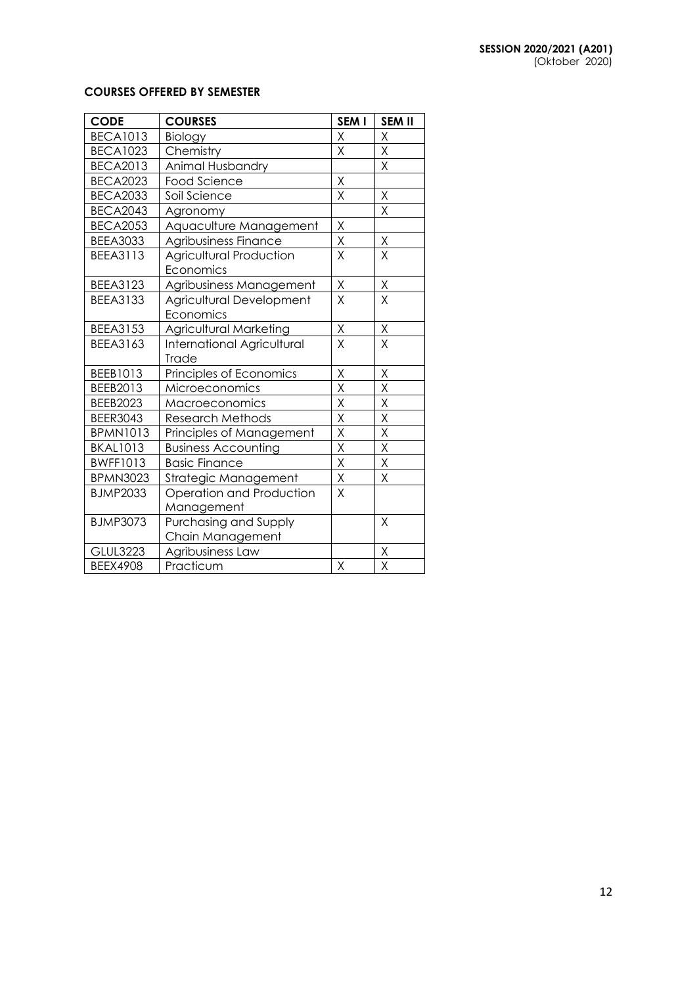### **COURSES OFFERED BY SEMESTER**

| <b>CODE</b>     | <b>COURSES</b>                    | SEM I                   | <b>SEM II</b>           |
|-----------------|-----------------------------------|-------------------------|-------------------------|
| <b>BECA1013</b> | Biology                           | X                       | X                       |
| <b>BECA1023</b> | Chemistry                         | Χ                       | Χ                       |
| <b>BECA2013</b> | Animal Husbandry                  |                         | Χ                       |
| <b>BECA2023</b> | <b>Food Science</b>               | X                       |                         |
| <b>BECA2033</b> | Soil Science                      | X                       | Χ                       |
| <b>BECA2043</b> | Agronomy                          |                         | X                       |
| <b>BECA2053</b> | Aquaculture Management            | Χ                       |                         |
| <b>BEEA3033</b> | Agribusiness Finance              | X                       | $\sf X$                 |
| <b>BEEA3113</b> | <b>Agricultural Production</b>    | X                       | X                       |
|                 | Economics                         |                         |                         |
| <b>BEEA3123</b> | Agribusiness Management           | Χ                       | Χ                       |
| <b>BEEA3133</b> | Agricultural Development          | X                       | X                       |
|                 | Economics                         |                         |                         |
| <b>BEEA3153</b> | Agricultural Marketing            | Χ                       | Χ                       |
| BEEA3163        | <b>International Agricultural</b> | X                       | Χ                       |
|                 | Trade                             |                         |                         |
| BEEB1013        | Principles of Economics           | Χ                       | Χ                       |
| BEEB2013        | Microeconomics                    | X                       | Χ                       |
| <b>BEEB2023</b> | Macroeconomics                    | Χ                       | Χ                       |
| <b>BEER3043</b> | <b>Research Methods</b>           | X                       | X                       |
| <b>BPMN1013</b> | Principles of Management          | Χ                       | X                       |
| <b>BKAL1013</b> | <b>Business Accounting</b>        | Χ                       | Χ                       |
| <b>BWFF1013</b> | <b>Basic Finance</b>              | $\overline{\mathsf{X}}$ | $\overline{\mathsf{x}}$ |
| <b>BPMN3023</b> | <b>Strategic Management</b>       | $\mathsf X$             | Χ                       |
| <b>BJMP2033</b> | Operation and Production          | X                       |                         |
|                 | Management                        |                         |                         |
| <b>BJMP3073</b> | Purchasing and Supply             |                         | Χ                       |
|                 | Chain Management                  |                         |                         |
| <b>GLUL3223</b> | Agribusiness Law                  |                         | $\overline{\mathsf{X}}$ |
| <b>BEEX4908</b> | Practicum                         | $\sf X$                 | $\overline{\mathsf{x}}$ |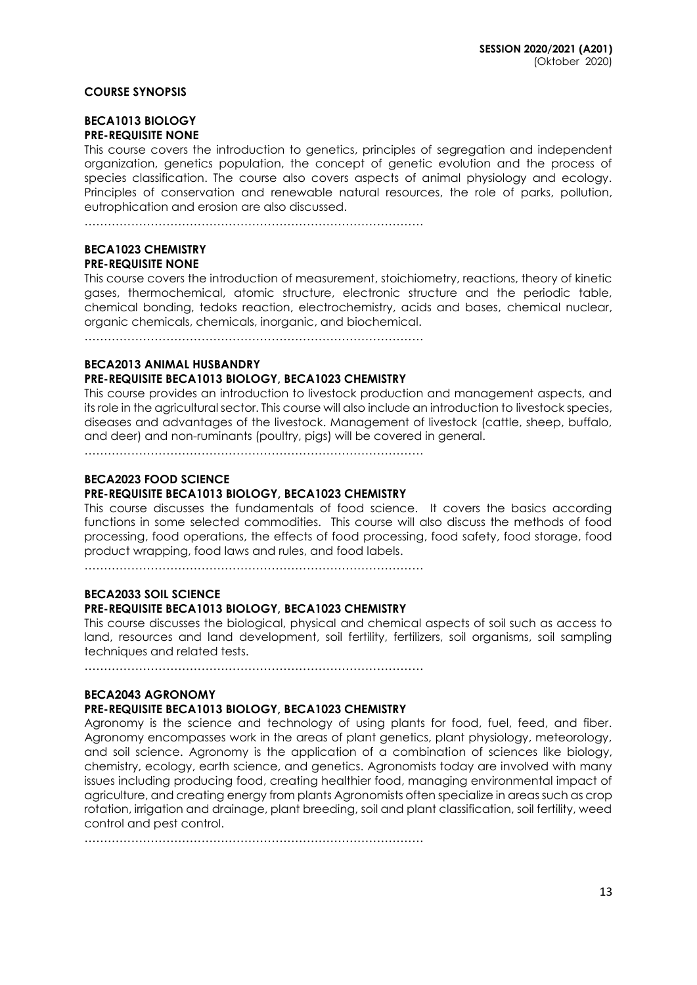### **COURSE SYNOPSIS**

### **BECA1013 BIOLOGY PRE-REQUISITE NONE**

This course covers the introduction to genetics, principles of segregation and independent organization, genetics population, the concept of genetic evolution and the process of species classification. The course also covers aspects of animal physiology and ecology. Principles of conservation and renewable natural resources, the role of parks, pollution, eutrophication and erosion are also discussed.

……………………………………………………………………………

#### **BECA1023 CHEMISTRY PRE-REQUISITE NONE**

This course covers the introduction of measurement, stoichiometry, reactions, theory of kinetic gases, thermochemical, atomic structure, electronic structure and the periodic table, chemical bonding, tedoks reaction, electrochemistry, acids and bases, chemical nuclear, organic chemicals, chemicals, inorganic, and biochemical.

……………………………………………………………………………

### **BECA2013 ANIMAL HUSBANDRY**

# **PRE-REQUISITE BECA1013 BIOLOGY, BECA1023 CHEMISTRY**

This course provides an introduction to livestock production and management aspects, and its role in the agricultural sector. This course will also include an introduction to livestock species, diseases and advantages of the livestock. Management of livestock (cattle, sheep, buffalo, and deer) and non-ruminants (poultry, pigs) will be covered in general.

……………………………………………………………………………

# **BECA2023 FOOD SCIENCE**

# **PRE-REQUISITE BECA1013 BIOLOGY, BECA1023 CHEMISTRY**

This course discusses the fundamentals of food science. It covers the basics according functions in some selected commodities. This course will also discuss the methods of food processing, food operations, the effects of food processing, food safety, food storage, food product wrapping, food laws and rules, and food labels.

……………………………………………………………………………

# **BECA2033 SOIL SCIENCE**

# **PRE-REQUISITE BECA1013 BIOLOGY, BECA1023 CHEMISTRY**

This course discusses the biological, physical and chemical aspects of soil such as access to land, resources and land development, soil fertility, fertilizers, soil organisms, soil sampling techniques and related tests.

……………………………………………………………………………

# **BECA2043 AGRONOMY**

# **PRE-REQUISITE BECA1013 BIOLOGY, BECA1023 CHEMISTRY**

Agronomy is the science and technology of using plants for food, fuel, feed, and fiber. Agronomy encompasses work in the areas of plant genetics, plant physiology, meteorology, and soil science. Agronomy is the application of a combination of sciences like biology, chemistry, ecology, earth science, and genetics. Agronomists today are involved with many issues including producing food, creating healthier food, managing environmental impact of agriculture, and creating energy from plants Agronomists often specialize in areas such as crop rotation, irrigation and drainage, plant breeding, soil and plant classification, soil fertility, weed control and pest control.

……………………………………………………………………………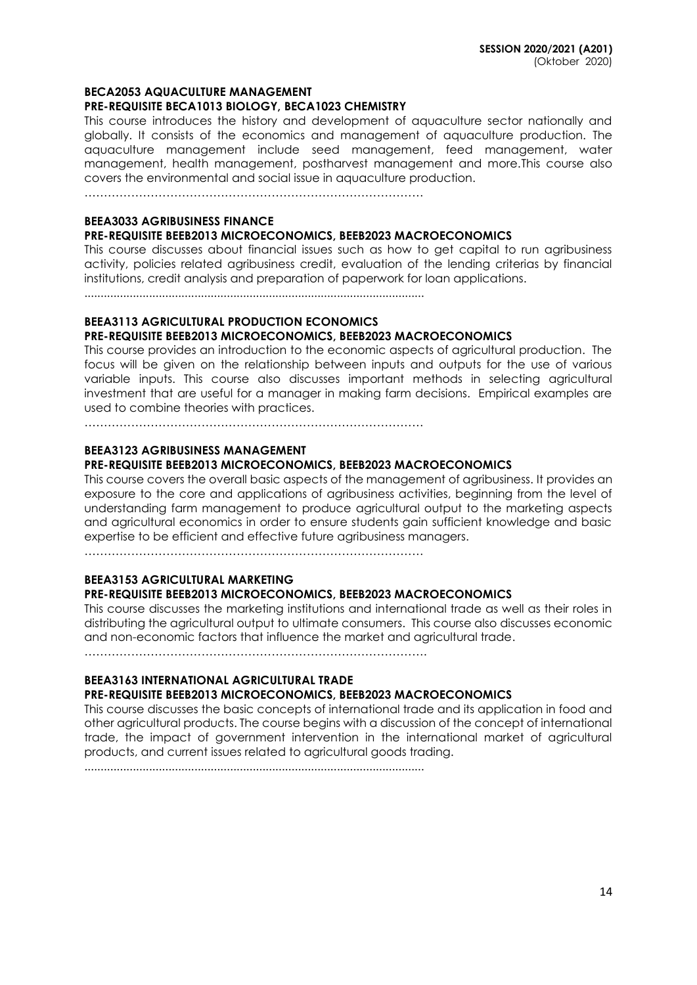#### **BECA2053 AQUACULTURE MANAGEMENT**

#### **PRE-REQUISITE BECA1013 BIOLOGY, BECA1023 CHEMISTRY**

This course introduces the history and development of aquaculture sector nationally and globally. It consists of the economics and management of aquaculture production. The aquaculture management include seed management, feed management, water management, health management, postharvest management and more.This course also covers the environmental and social issue in aquaculture production.

……………………………………………………………………………

### **BEEA3033 AGRIBUSINESS FINANCE**

### **PRE-REQUISITE BEEB2013 MICROECONOMICS, BEEB2023 MACROECONOMICS**

This course discusses about financial issues such as how to get capital to run agribusiness activity, policies related agribusiness credit, evaluation of the lending criterias by financial institutions, credit analysis and preparation of paperwork for loan applications.

.........................................................................................................

# **BEEA3113 AGRICULTURAL PRODUCTION ECONOMICS**

# **PRE-REQUISITE BEEB2013 MICROECONOMICS, BEEB2023 MACROECONOMICS**

This course provides an introduction to the economic aspects of agricultural production. The focus will be given on the relationship between inputs and outputs for the use of various variable inputs. This course also discusses important methods in selecting agricultural investment that are useful for a manager in making farm decisions. Empirical examples are used to combine theories with practices.

……………………………………………………………………………

#### **BEEA3123 AGRIBUSINESS MANAGEMENT PRE-REQUISITE BEEB2013 MICROECONOMICS, BEEB2023 MACROECONOMICS**

This course covers the overall basic aspects of the management of agribusiness. It provides an exposure to the core and applications of agribusiness activities, beginning from the level of understanding farm management to produce agricultural output to the marketing aspects and agricultural economics in order to ensure students gain sufficient knowledge and basic expertise to be efficient and effective future agribusiness managers.

……………………………………………………………………………

### **BEEA3153 AGRICULTURAL MARKETING PRE-REQUISITE BEEB2013 MICROECONOMICS, BEEB2023 MACROECONOMICS**

This course discusses the marketing institutions and international trade as well as their roles in distributing the agricultural output to ultimate consumers. This course also discusses economic and non-economic factors that influence the market and agricultural trade.

…………………………………………………………………………….

# **BEEA3163 INTERNATIONAL AGRICULTURAL TRADE**

### **PRE-REQUISITE BEEB2013 MICROECONOMICS, BEEB2023 MACROECONOMICS**

This course discusses the basic concepts of international trade and its application in food and other agricultural products. The course begins with a discussion of the concept of international trade, the impact of government intervention in the international market of agricultural products, and current issues related to agricultural goods trading.

.........................................................................................................